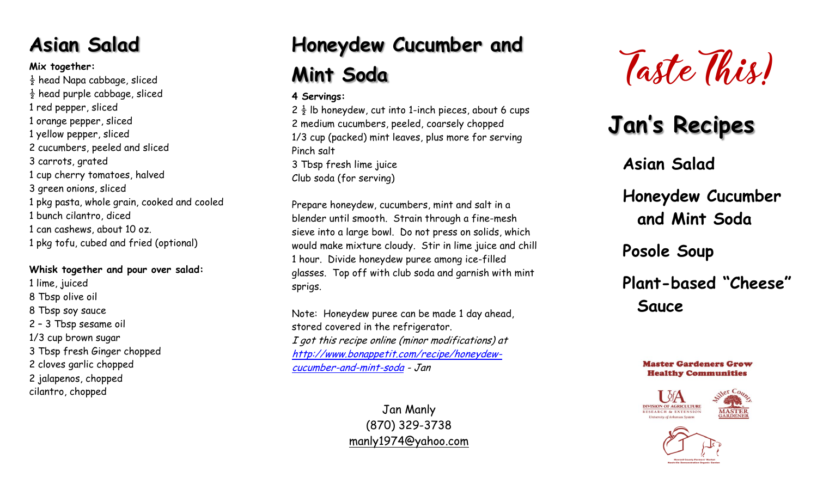## **Asian Salad**

### **Mix together:**

 $\frac{1}{2}$  head Napa cabbage, sliced  $\frac{1}{2}$  head purple cabbage, sliced 1 red pepper, sliced 1 orange pepper, sliced 1 yellow pepper, sliced 2 cucumbers, peeled and sliced 3 carrots, grated 1 cup cherry tomatoes, halved 3 green onions, sliced 1 pkg pasta, whole grain, cooked and cooled 1 bunch cilantro, diced 1 can cashews, about 10 oz. 1 pkg tofu, cubed and fried (optional)

### **Whisk together and pour over salad:**

1 lime, juiced 8 Tbsp olive oil 8 Tbsp soy sauce 2 – 3 Tbsp sesame oil 1/3 cup brown sugar 3 Tbsp fresh Ginger chopped 2 cloves garlic chopped 2 jalapenos, chopped cilantro, chopped

# **Honeydew Cucumber and Mint Soda**

## **4 Servings:**

 $2\frac{1}{2}$  lb honeydew, cut into 1-inch pieces, about 6 cups 2 medium cucumbers, peeled, coarsely chopped 1/3 cup (packed) mint leaves, plus more for serving Pinch salt 3 Tbsp fresh lime juice Club soda (for serving)

Prepare honeydew, cucumbers, mint and salt in a blender until smooth. Strain through a fine-mesh sieve into a large bowl. Do not press on solids, which would make mixture cloudy. Stir in lime juice and chill 1 hour. Divide honeydew puree among ice-filled glasses. Top off with club soda and garnish with mint sprigs.

Note: Honeydew puree can be made 1 day ahead, stored covered in the refrigerator. I got this recipe online (minor modifications) at [http://www.bonappetit.com/recipe/honeydew](http://www.bonappetit.com/recipe/honeydew-cucumber-and-mint-soda)[cucumber-and-mint-soda](http://www.bonappetit.com/recipe/honeydew-cucumber-and-mint-soda) - Jan

> Jan Manly (870) 329-3738 [manly1974@yahoo.com](mailto:manly1974@yahoo.com)



# **Jan's Recipes**

**Asian Salad**

**Honeydew Cucumber and Mint Soda**

**Posole Soup**

**Plant-based "Cheese" Sauce**

#### **Master Gardeners Grow Healthy Communities**